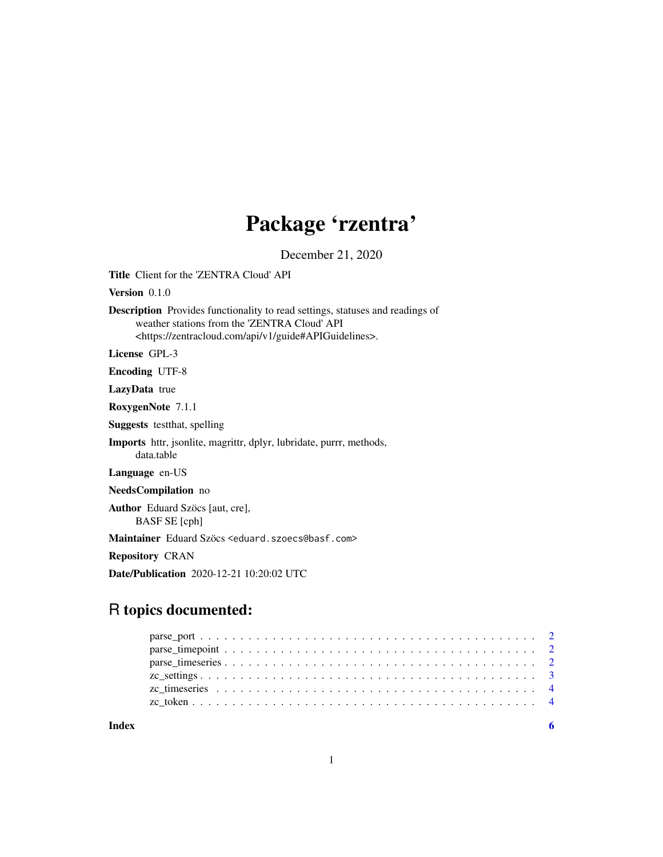# Package 'rzentra'

December 21, 2020

Title Client for the 'ZENTRA Cloud' API

Version 0.1.0

Description Provides functionality to read settings, statuses and readings of weather stations from the 'ZENTRA Cloud' API <https://zentracloud.com/api/v1/guide#APIGuidelines>.

License GPL-3

Encoding UTF-8

LazyData true

RoxygenNote 7.1.1

Suggests testthat, spelling

Imports httr, jsonlite, magrittr, dplyr, lubridate, purrr, methods, data.table

Language en-US

NeedsCompilation no

Author Eduard Szöcs [aut, cre], BASF SE [cph]

Maintainer Eduard Szöcs <eduard.szoecs@basf.com>

Repository CRAN

Date/Publication 2020-12-21 10:20:02 UTC

## R topics documented:

**Index** [6](#page-5-0) **6**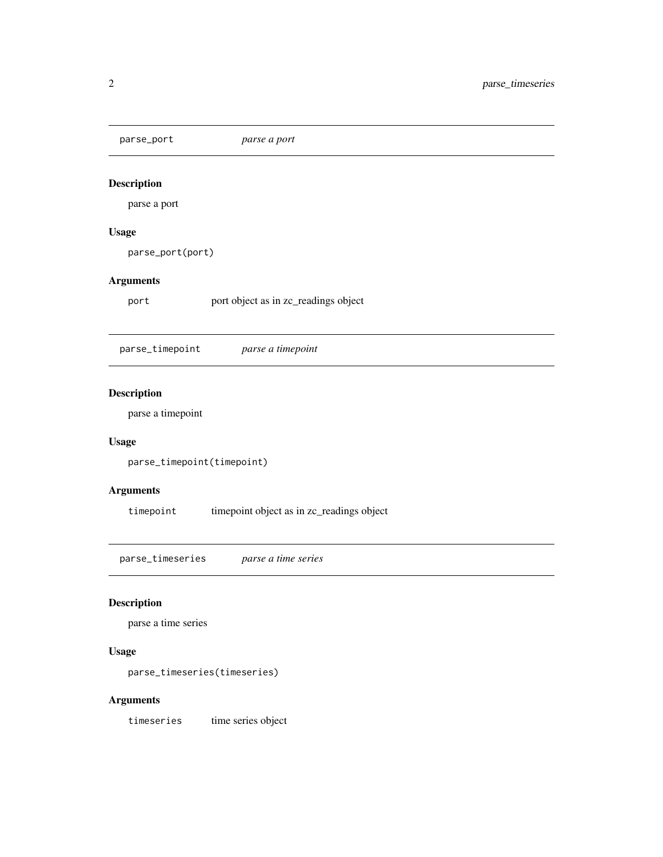<span id="page-1-0"></span>parse\_port *parse a port*

#### Description

parse a port

#### Usage

parse\_port(port)

#### Arguments

port port object as in zc\_readings object

parse\_timepoint *parse a timepoint*

#### Description

parse a timepoint

#### Usage

parse\_timepoint(timepoint)

#### Arguments

timepoint timepoint object as in zc\_readings object

parse\_timeseries *parse a time series*

#### Description

parse a time series

#### Usage

parse\_timeseries(timeseries)

#### Arguments

timeseries time series object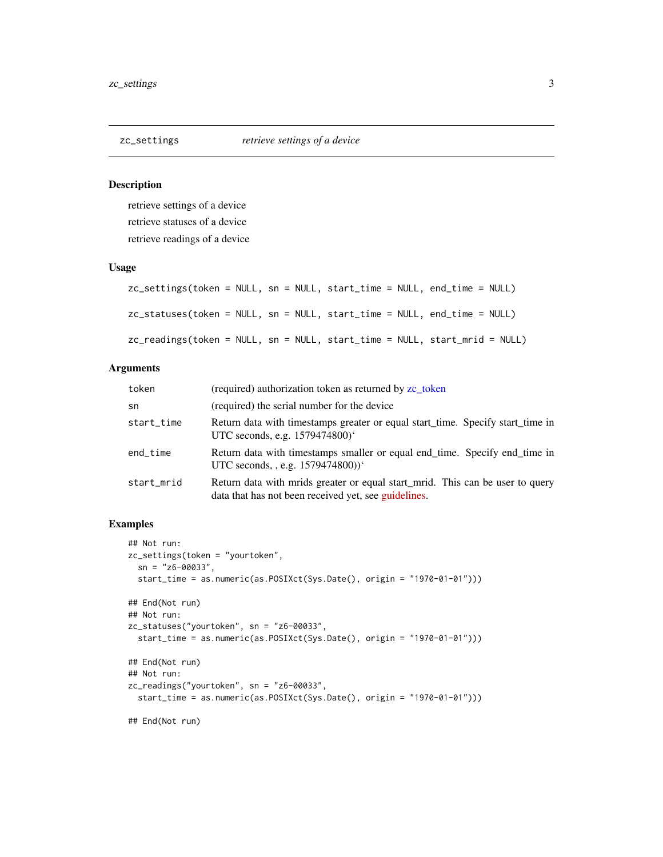<span id="page-2-0"></span>

#### <span id="page-2-1"></span>Description

retrieve settings of a device retrieve statuses of a device retrieve readings of a device

#### Usage

|  | zc_settings(token = NULL, sn = NULL, start_time = NULL, end_time = NULL) |                                                                            |
|--|--------------------------------------------------------------------------|----------------------------------------------------------------------------|
|  | zc_statuses(token = NULL, sn = NULL, start_time = NULL, end_time = NULL) |                                                                            |
|  |                                                                          | zc_readings(token = NULL, sn = NULL, start_time = NULL, start_mrid = NULL) |

#### Arguments

| token      | (required) authorization token as returned by zc token                                                                                |
|------------|---------------------------------------------------------------------------------------------------------------------------------------|
| sn         | (required) the serial number for the device                                                                                           |
| start_time | Return data with timestamps greater or equal start_time. Specify start_time in<br>UTC seconds, e.g. 1579474800)'                      |
| end_time   | Return data with timestamps smaller or equal end_time. Specify end_time in<br>UTC seconds, , e.g. 1579474800))'                       |
| start_mrid | Return data with mrids greater or equal start_mrid. This can be user to query<br>data that has not been received yet, see guidelines. |

#### Examples

```
## Not run:
zc_settings(token = "yourtoken",
  sn = "z6-00033",start_time = as.numeric(as.POSIXct(Sys.Date(), origin = "1970-01-01")))
## End(Not run)
## Not run:
zc_statuses("yourtoken", sn = "z6-00033",
  start_time = as.numeric(as.POSIXct(Sys.Date(), origin = "1970-01-01")))
## End(Not run)
## Not run:
zc_readings("yourtoken", sn = "z6-00033",
  start_time = as.numeric(as.POSIXct(Sys.Date(), origin = "1970-01-01")))
```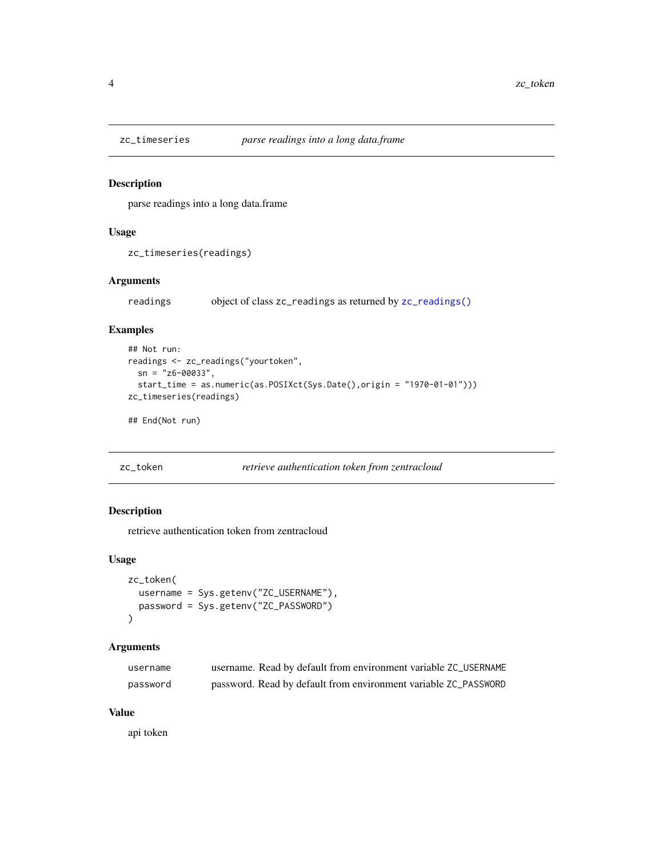<span id="page-3-0"></span>

#### Description

parse readings into a long data.frame

#### Usage

zc\_timeseries(readings)

#### Arguments

readings object of class zc\_readings as returned by [zc\\_readings\(\)](#page-2-1)

#### Examples

```
## Not run:
readings <- zc_readings("yourtoken",
  sn = "z6-00033",
  start_time = as.numeric(as.POSIXct(Sys.Date(),origin = "1970-01-01")))
zc_timeseries(readings)
## End(Not run)
```

```
zc_token retrieve authentication token from zentracloud
```
#### Description

retrieve authentication token from zentracloud

#### Usage

```
zc_token(
 username = Sys.getenv("ZC_USERNAME"),
 password = Sys.getenv("ZC_PASSWORD")
)
```
#### Arguments

| username | username. Read by default from environment variable ZC_USERNAME |
|----------|-----------------------------------------------------------------|
| password | password. Read by default from environment variable ZC_PASSWORD |

#### Value

api token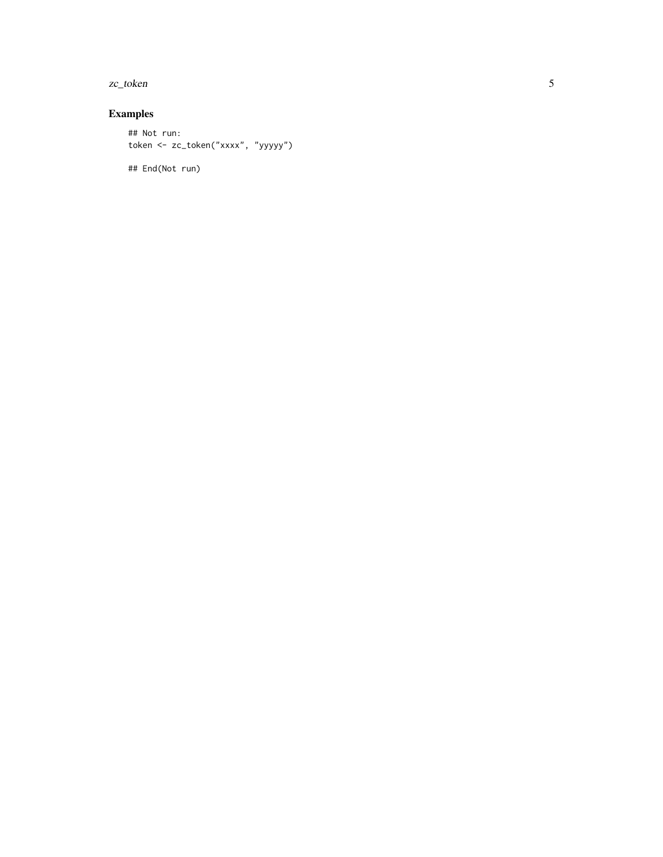zc\_token

### Examples

```
## Not run:
token <- zc_token("xxxx", "yyyyy")
```
## End(Not run)